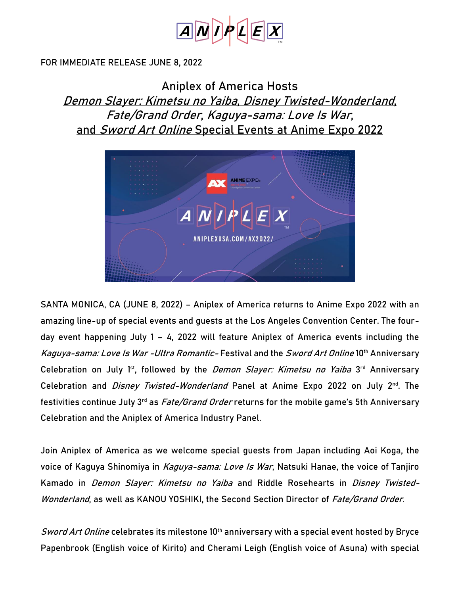

#### FOR IMMEDIATE RELEASE JUNE 8, 2022

# **Aniplex of America Hosts Demon Slayer: Kimetsu no Yaiba, Disney Twisted-Wonderland, Fate/Grand Order, Kaguya-sama: Love Is War, and Sword Art Online Special Events at Anime Expo 2022**



SANTA MONICA, CA (JUNE 8, 2022) – Aniplex of America returns to Anime Expo 2022 with an amazing line-up of special events and guests at the Los Angeles Convention Center. The fourday event happening July 1 – 4, 2022 will feature Aniplex of America events including the **Kaguya-sama: Love Is War -Ultra Romantic- Festival** and the **Sword Art Online 10th Anniversary Celebration** on July 1st, followed by the **Demon Slayer: Kimetsu no Yaiba 3 rd Anniversary Celebration** and **Disney Twisted-Wonderland Panel at Anime Expo 2022** on July 2nd. The festivities continue July 3rd as **Fate/Grand Order** returns for the mobile game's **5th Anniversary Celebration** and the Aniplex of America Industry Panel.

Join Aniplex of America as we welcome special guests from Japan including **Aoi Koga**, the voice of Kaguya Shinomiya in Kaguya-sama: Love Is War, **Natsuki Hanae**, the voice of Tanjiro Kamado in *Demon Slayer: Kimetsu no Yaiba* and Riddle Rosehearts in *Disney Twisted-*Wonderland, as well as **KANOU YOSHIKI, the** Second Section Director of Fate/Grand Order**.** 

Sword Art Online celebrates its milestone 10<sup>th</sup> anniversary with a special event hosted by Bryce **Papenbrook** (English voice of Kirito) and **Cherami Leigh** (English voice of Asuna) with special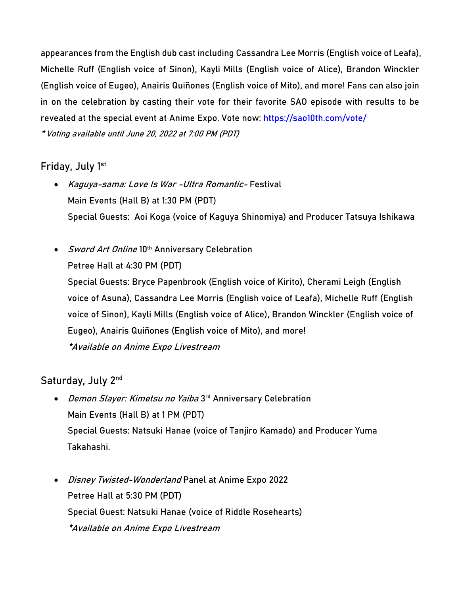appearances from the English dub cast including **Cassandra Lee Morris** (English voice of Leafa), **Michelle Ruff** (English voice of Sinon), **Kayli Mills** (English voice of Alice), **Brandon Winckler**  (English voice of Eugeo), **Anairis Quiñones** (English voice of Mito), and more! Fans can also join in on the celebration by casting their vote for their favorite SAO episode with results to be revealed at the special event at Anime Expo. Vote now:<https://sao10th.com/vote/>

\* Voting available until June 20, 2022 at 7:00 PM (PDT)

### **Friday, July 1st**

- **Kaguya-sama: Love Is War -Ultra Romantic- Festival** Main Events (Hall B) at 1:30 PM (PDT) **Special Guests: Aoi Koga** (voice of Kaguya Shinomiya) and Producer **Tatsuya Ishikawa**
- **Sword Art Online 10th Anniversary Celebration**

Petree Hall at 4:30 PM (PDT)

**Special Guests:** Bryce Papenbrook (English voice of Kirito), Cherami Leigh (English voice of Asuna), **Cassandra Lee Morris** (English voice of Leafa), **Michelle Ruff** (English voice of Sinon), **Kayli Mills** (English voice of Alice), **Brandon Winckler** (English voice of Eugeo), **Anairis Quiñones** (English voice of Mito), and more! \*Available on Anime Expo Livestream

## **Saturday, July 2nd**

- **Demon Slayer: Kimetsu no Yaiba 3 rd Anniversary Celebration** Main Events (Hall B) at 1 PM (PDT) **Special Guests: Natsuki Hanae** (voice of Tanjiro Kamado) and Producer **Yuma Takahashi**.
- **Disney Twisted-Wonderland Panel at Anime Expo 2022** Petree Hall at 5:30 PM (PDT) **Special Guest: Natsuki Hanae (**voice of Riddle Rosehearts) \*Available on Anime Expo Livestream